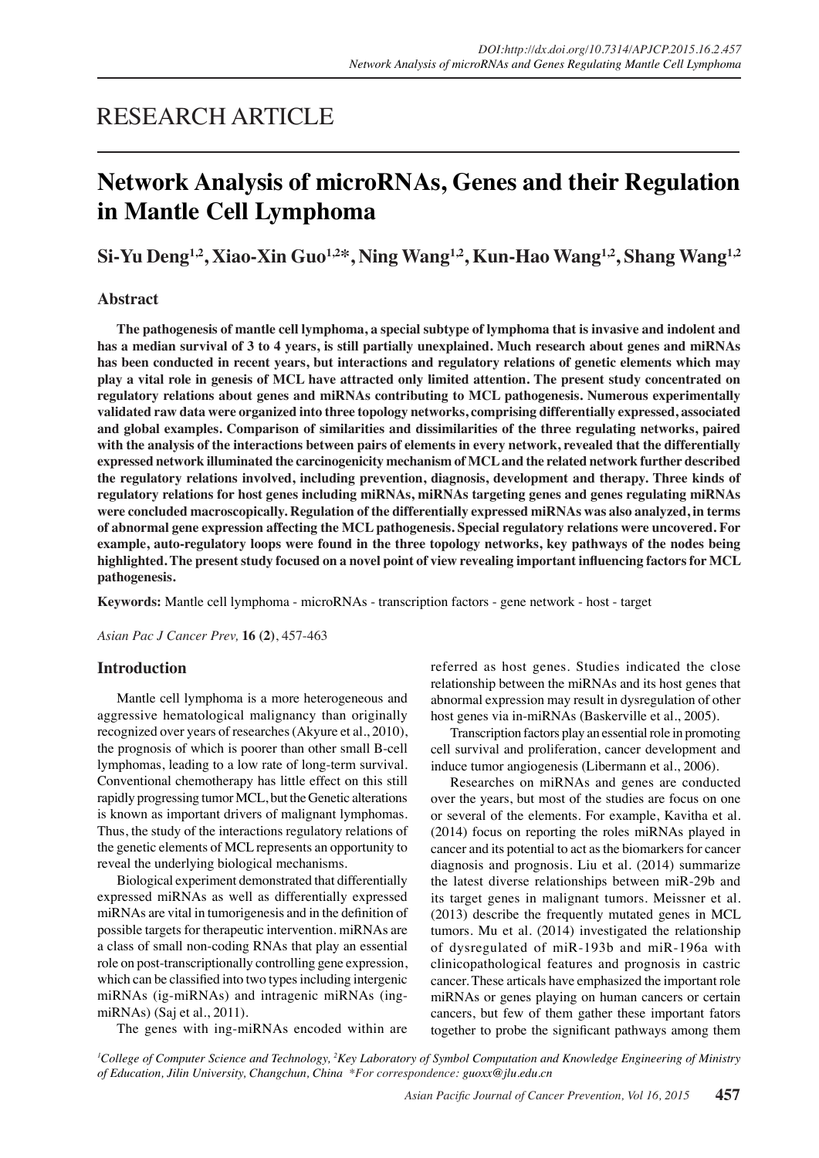## RESEARCH ARTICLE

# **Network Analysis of microRNAs, Genes and their Regulation in Mantle Cell Lymphoma**

**Si-Yu Deng1,2, Xiao-Xin Guo1,2\*, Ning Wang1,2, Kun-Hao Wang1,2, Shang Wang1,2**

## **Abstract**

**The pathogenesis of mantle cell lymphoma, a special subtype of lymphoma that is invasive and indolent and has a median survival of 3 to 4 years, is still partially unexplained. Much research about genes and miRNAs has been conducted in recent years, but interactions and regulatory relations of genetic elements which may play a vital role in genesis of MCL have attracted only limited attention. The present study concentrated on regulatory relations about genes and miRNAs contributing to MCL pathogenesis. Numerous experimentally validated raw data were organized into three topology networks, comprising differentially expressed, associated and global examples. Comparison of similarities and dissimilarities of the three regulating networks, paired with the analysis of the interactions between pairs of elements in every network, revealed that the differentially expressed network illuminated the carcinogenicity mechanism of MCL and the related network further described the regulatory relations involved, including prevention, diagnosis, development and therapy. Three kinds of regulatory relations for host genes including miRNAs, miRNAs targeting genes and genes regulating miRNAs were concluded macroscopically. Regulation of the differentially expressed miRNAs was also analyzed, in terms of abnormal gene expression affecting the MCL pathogenesis. Special regulatory relations were uncovered. For example, auto-regulatory loops were found in the three topology networks, key pathways of the nodes being highlighted. The present study focused on a novel point of view revealing important influencing factors for MCL pathogenesis.**

**Keywords:** Mantle cell lymphoma - microRNAs - transcription factors - gene network - host - target

*Asian Pac J Cancer Prev,* **16 (2)**, 457-463

### **Introduction**

Mantle cell lymphoma is a more heterogeneous and aggressive hematological malignancy than originally recognized over years of researches (Akyure et al., 2010), the prognosis of which is poorer than other small B-cell lymphomas, leading to a low rate of long-term survival. Conventional chemotherapy has little effect on this still rapidly progressing tumor MCL, but the Genetic alterations is known as important drivers of malignant lymphomas. Thus, the study of the interactions regulatory relations of the genetic elements of MCL represents an opportunity to reveal the underlying biological mechanisms.

Biological experiment demonstrated that differentially expressed miRNAs as well as differentially expressed miRNAs are vital in tumorigenesis and in the definition of possible targets for therapeutic intervention. miRNAs are a class of small non-coding RNAs that play an essential role on post-transcriptionally controlling gene expression, which can be classified into two types including intergenic miRNAs (ig-miRNAs) and intragenic miRNAs (ingmiRNAs) (Saj et al., 2011).

referred as host genes. Studies indicated the close relationship between the miRNAs and its host genes that abnormal expression may result in dysregulation of other host genes via in-miRNAs (Baskerville et al., 2005).

Transcription factors play an essential role in promoting cell survival and proliferation, cancer development and induce tumor angiogenesis (Libermann et al., 2006).

Researches on miRNAs and genes are conducted over the years, but most of the studies are focus on one or several of the elements. For example, Kavitha et al. (2014) focus on reporting the roles miRNAs played in cancer and its potential to act as the biomarkers for cancer diagnosis and prognosis. Liu et al. (2014) summarize the latest diverse relationships between miR-29b and its target genes in malignant tumors. Meissner et al. (2013) describe the frequently mutated genes in MCL tumors. Mu et al. (2014) investigated the relationship of dysregulated of miR-193b and miR-196a with clinicopathological features and prognosis in castric cancer. These articals have emphasized the important role miRNAs or genes playing on human cancers or certain cancers, but few of them gather these important fators together to probe the significant pathways among them

The genes with ing-miRNAs encoded within are

*1 College of Computer Science and Technology, 2 Key Laboratory of Symbol Computation and Knowledge Engineering of Ministry of Education, Jilin University, Changchun, China \*For correspondence: guoxx@jlu.edu.cn*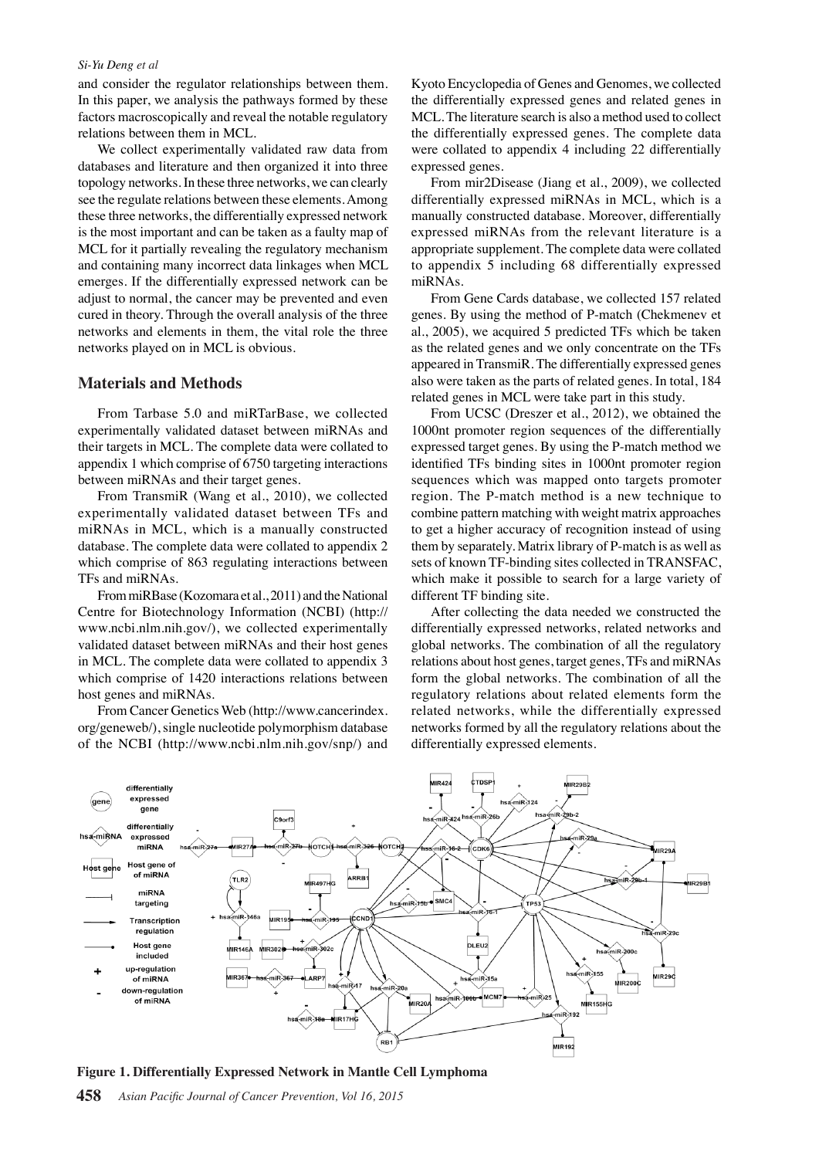#### *Si-Yu Deng et al*

and consider the regulator relationships between them. In this paper, we analysis the pathways formed by these factors macroscopically and reveal the notable regulatory relations between them in MCL.

We collect experimentally validated raw data from databases and literature and then organized it into three topology networks. In these three networks, we can clearly see the regulate relations between these elements. Among these three networks, the differentially expressed network is the most important and can be taken as a faulty map of MCL for it partially revealing the regulatory mechanism and containing many incorrect data linkages when MCL emerges. If the differentially expressed network can be adjust to normal, the cancer may be prevented and even cured in theory. Through the overall analysis of the three networks and elements in them, the vital role the three networks played on in MCL is obvious.

## **Materials and Methods**

From Tarbase 5.0 and miRTarBase, we collected experimentally validated dataset between miRNAs and their targets in MCL. The complete data were collated to appendix 1 which comprise of 6750 targeting interactions between miRNAs and their target genes.

From TransmiR (Wang et al., 2010), we collected experimentally validated dataset between TFs and miRNAs in MCL, which is a manually constructed database. The complete data were collated to appendix 2 which comprise of 863 regulating interactions between TFs and miRNAs.

From miRBase (Kozomara et al., 2011) and the National Centre for Biotechnology Information (NCBI) (http:// www.ncbi.nlm.nih.gov/), we collected experimentally validated dataset between miRNAs and their host genes in MCL. The complete data were collated to appendix 3 which comprise of 1420 interactions relations between host genes and miRNAs.

From Cancer Genetics Web (http://www.cancerindex. org/geneweb/), single nucleotide polymorphism database of the NCBI (http://www.ncbi.nlm.nih.gov/snp/) and

Kyoto Encyclopedia of Genes and Genomes, we collected the differentially expressed genes and related genes in MCL. The literature search is also a method used to collect the differentially expressed genes. The complete data were collated to appendix 4 including 22 differentially expressed genes.

From mir2Disease (Jiang et al., 2009), we collected differentially expressed miRNAs in MCL, which is a manually constructed database. Moreover, differentially expressed miRNAs from the relevant literature is a appropriate supplement. The complete data were collated to appendix 5 including 68 differentially expressed miRNAs.

From Gene Cards database, we collected 157 related genes. By using the method of P-match (Chekmenev et al., 2005), we acquired 5 predicted TFs which be taken as the related genes and we only concentrate on the TFs appeared in TransmiR. The differentially expressed genes also were taken as the parts of related genes. In total, 184 related genes in MCL were take part in this study.

From UCSC (Dreszer et al., 2012), we obtained the 1000nt promoter region sequences of the differentially expressed target genes. By using the P-match method we identified TFs binding sites in 1000nt promoter region sequences which was mapped onto targets promoter region. The P-match method is a new technique to combine pattern matching with weight matrix approaches to get a higher accuracy of recognition instead of using them by separately. Matrix library of P-match is as well as sets of known TF-binding sites collected in TRANSFAC, which make it possible to search for a large variety of different TF binding site.

After collecting the data needed we constructed the differentially expressed networks, related networks and global networks. The combination of all the regulatory relations about host genes, target genes, TFs and miRNAs form the global networks. The combination of all the regulatory relations about related elements form the related networks, while the differentially expressed networks formed by all the regulatory relations about the differentially expressed elements.



**Figure 1. Differentially Expressed Network in Mantle Cell Lymphoma**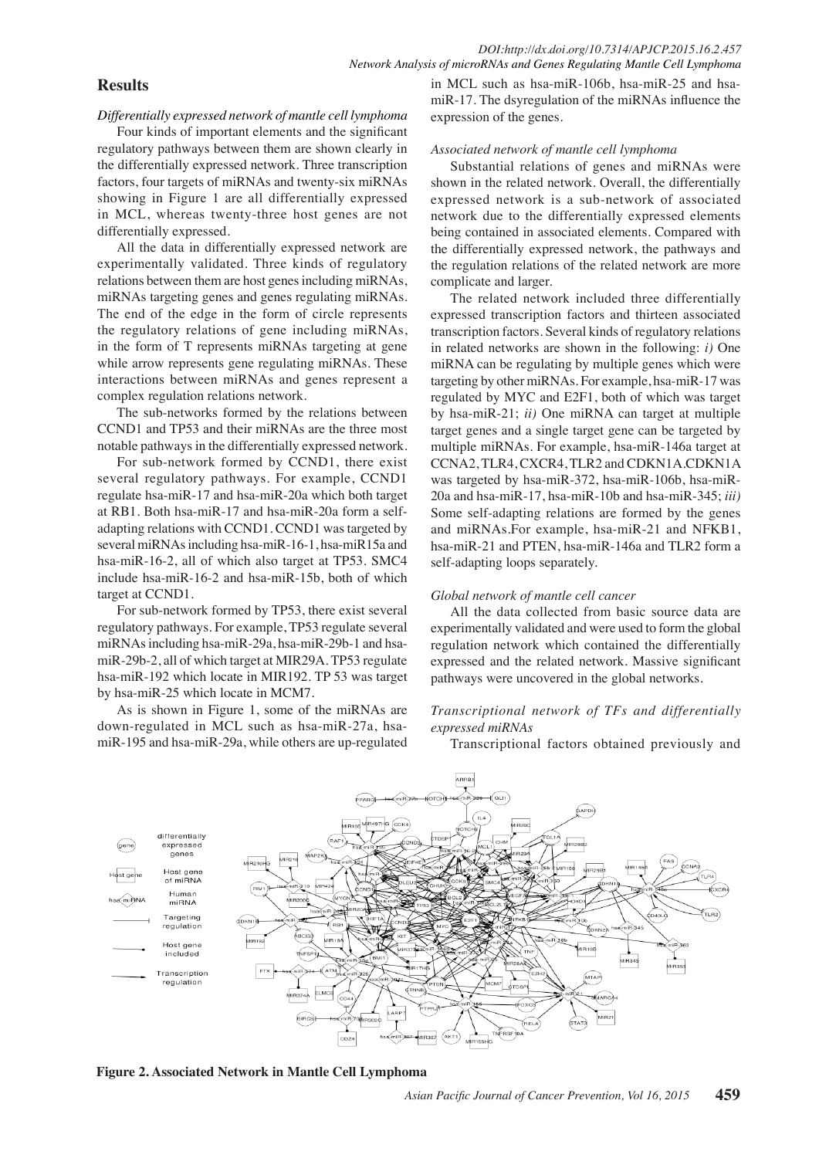## **Results**

*Differentially expressed network of mantle cell lymphoma*

Four kinds of important elements and the significant regulatory pathways between them are shown clearly in the differentially expressed network. Three transcription factors, four targets of miRNAs and twenty-six miRNAs showing in Figure 1 are all differentially expressed in MCL, whereas twenty-three host genes are not differentially expressed.

All the data in differentially expressed network are experimentally validated. Three kinds of regulatory relations between them are host genes including miRNAs, miRNAs targeting genes and genes regulating miRNAs. The end of the edge in the form of circle represents the regulatory relations of gene including miRNAs, in the form of T represents miRNAs targeting at gene while arrow represents gene regulating miRNAs. These interactions between miRNAs and genes represent a complex regulation relations network.

The sub-networks formed by the relations between CCND1 and TP53 and their miRNAs are the three most notable pathways in the differentially expressed network.

For sub-network formed by CCND1, there exist several regulatory pathways. For example, CCND1 regulate hsa-miR-17 and hsa-miR-20a which both target at RB1. Both hsa-miR-17 and hsa-miR-20a form a selfadapting relations with CCND1. CCND1 was targeted by several miRNAs including hsa-miR-16-1, hsa-miR15a and hsa-miR-16-2, all of which also target at TP53. SMC4 include hsa-miR-16-2 and hsa-miR-15b, both of which target at CCND1.

For sub-network formed by TP53, there exist several regulatory pathways. For example, TP53 regulate several miRNAs including hsa-miR-29a, hsa-miR-29b-1 and hsamiR-29b-2, all of which target at MIR29A. TP53 regulate hsa-miR-192 which locate in MIR192. TP 53 was target by hsa-miR-25 which locate in MCM7.

As is shown in Figure 1, some of the miRNAs are down-regulated in MCL such as hsa-miR-27a, hsamiR-195 and hsa-miR-29a, while others are up-regulated

in MCL such as hsa-miR-106b, hsa-miR-25 and hsamiR-17. The dsyregulation of the miRNAs influence the expression of the genes.

#### *Associated network of mantle cell lymphoma*

Substantial relations of genes and miRNAs were shown in the related network. Overall, the differentially expressed network is a sub-network of associated network due to the differentially expressed elements being contained in associated elements. Compared with the differentially expressed network, the pathways and the regulation relations of the related network are more complicate and larger.

The related network included three differentially expressed transcription factors and thirteen associated transcription factors. Several kinds of regulatory relations in related networks are shown in the following: *i)* One miRNA can be regulating by multiple genes which were targeting by other miRNAs. For example, hsa-miR-17 was regulated by MYC and E2F1, both of which was target by hsa-miR-21; *ii)* One miRNA can target at multiple target genes and a single target gene can be targeted by multiple miRNAs. For example, hsa-miR-146a target at CCNA2, TLR4, CXCR4, TLR2 and CDKN1A.CDKN1A was targeted by hsa-miR-372, hsa-miR-106b, hsa-miR-20a and hsa-miR-17, hsa-miR-10b and hsa-miR-345; *iii)* Some self-adapting relations are formed by the genes and miRNAs.For example, hsa-miR-21 and NFKB1, hsa-miR-21 and PTEN, hsa-miR-146a and TLR2 form a self-adapting loops separately.

#### *Global network of mantle cell cancer*

All the data collected from basic source data are experimentally validated and were used to form the global regulation network which contained the differentially expressed and the related network. Massive significant pathways were uncovered in the global networks.

## *Transcriptional network of TFs and differentially expressed miRNAs*

Transcriptional factors obtained previously and



**Figure 2. Associated Network in Mantle Cell Lymphoma**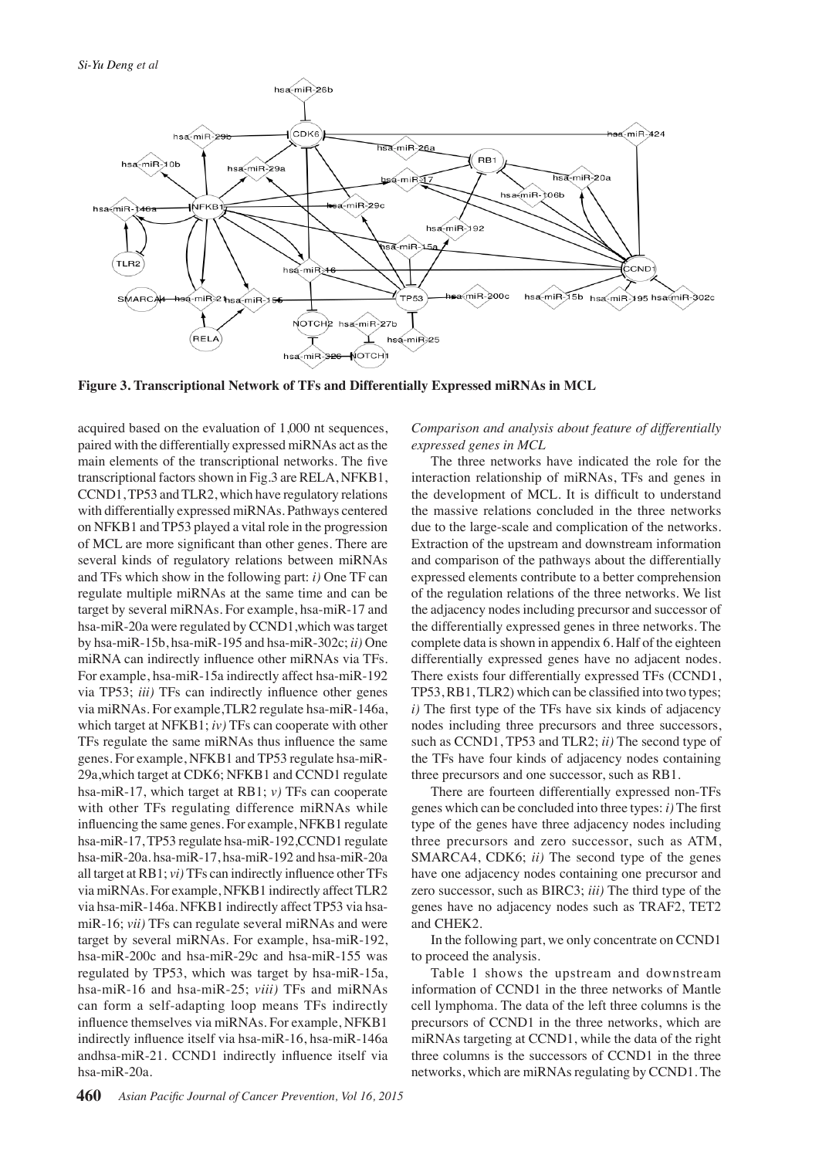

**Figure 3. Transcriptional Network of TFs and Differentially Expressed miRNAs in MCL**

acquired based on the evaluation of 1,000 nt sequences, paired with the differentially expressed miRNAs act as the main elements of the transcriptional networks. The five transcriptional factors shown in Fig.3 are RELA, NFKB1, CCND1, TP53 and TLR2, which have regulatory relations with differentially expressed miRNAs. Pathways centered on NFKB1 and TP53 played a vital role in the progression of MCL are more significant than other genes. There are several kinds of regulatory relations between miRNAs and TFs which show in the following part: *i)* One TF can regulate multiple miRNAs at the same time and can be target by several miRNAs. For example, hsa-miR-17 and hsa-miR-20a were regulated by CCND1,which was target by hsa-miR-15b, hsa-miR-195 and hsa-miR-302c; *ii)* One miRNA can indirectly influence other miRNAs via TFs. For example, hsa-miR-15a indirectly affect hsa-miR-192 via TP53; *iii)* TFs can indirectly influence other genes via miRNAs. For example,TLR2 regulate hsa-miR-146a, which target at NFKB1; *iv)* TFs can cooperate with other TFs regulate the same miRNAs thus influence the same genes. For example, NFKB1 and TP53 regulate hsa-miR-29a,which target at CDK6; NFKB1 and CCND1 regulate hsa-miR-17, which target at RB1; *v)* TFs can cooperate with other TFs regulating difference miRNAs while influencing the same genes. For example, NFKB1 regulate hsa-miR-17, TP53 regulate hsa-miR-192,CCND1 regulate hsa-miR-20a. hsa-miR-17, hsa-miR-192 and hsa-miR-20a all target at RB1; *vi)* TFs can indirectly influence other TFs via miRNAs. For example, NFKB1 indirectly affect TLR2 via hsa-miR-146a. NFKB1 indirectly affect TP53 via hsamiR-16; *vii)* TFs can regulate several miRNAs and were target by several miRNAs. For example, hsa-miR-192, hsa-miR-200c and hsa-miR-29c and hsa-miR-155 was regulated by TP53, which was target by hsa-miR-15a, hsa-miR-16 and hsa-miR-25; *viii)* TFs and miRNAs can form a self-adapting loop means TFs indirectly influence themselves via miRNAs. For example, NFKB1 indirectly influence itself via hsa-miR-16, hsa-miR-146a andhsa-miR-21. CCND1 indirectly influence itself via hsa-miR-20a.

*Comparison and analysis about feature of differentially expressed genes in MCL*

The three networks have indicated the role for the interaction relationship of miRNAs, TFs and genes in the development of MCL. It is difficult to understand the massive relations concluded in the three networks due to the large-scale and complication of the networks. Extraction of the upstream and downstream information and comparison of the pathways about the differentially expressed elements contribute to a better comprehension of the regulation relations of the three networks. We list the adjacency nodes including precursor and successor of the differentially expressed genes in three networks. The complete data is shown in appendix 6. Half of the eighteen differentially expressed genes have no adjacent nodes. There exists four differentially expressed TFs (CCND1, TP53, RB1, TLR2) which can be classified into two types; *i)* The first type of the TFs have six kinds of adjacency nodes including three precursors and three successors, such as CCND1, TP53 and TLR2; *ii)* The second type of the TFs have four kinds of adjacency nodes containing three precursors and one successor, such as RB1.

There are fourteen differentially expressed non-TFs genes which can be concluded into three types: *i)* The first type of the genes have three adjacency nodes including three precursors and zero successor, such as ATM, SMARCA4, CDK6; *ii)* The second type of the genes have one adjacency nodes containing one precursor and zero successor, such as BIRC3; *iii)* The third type of the genes have no adjacency nodes such as TRAF2, TET2 and CHEK2.

In the following part, we only concentrate on CCND1 to proceed the analysis.

Table 1 shows the upstream and downstream information of CCND1 in the three networks of Mantle cell lymphoma. The data of the left three columns is the precursors of CCND1 in the three networks, which are miRNAs targeting at CCND1, while the data of the right three columns is the successors of CCND1 in the three networks, which are miRNAs regulating by CCND1. The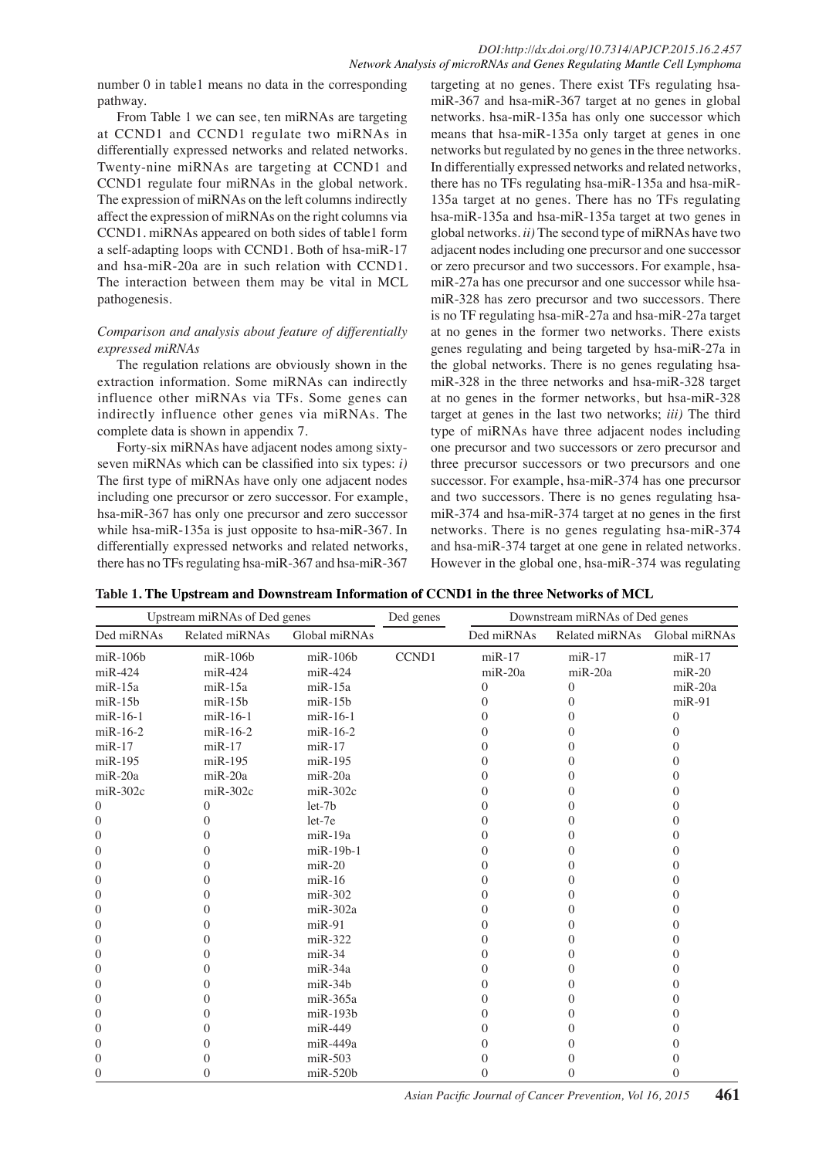number 0 in table1 means no data in the corresponding pathway.

From Table 1 we can see, ten miRNAs are targeting at CCND1 and CCND1 regulate two miRNAs in differentially expressed networks and related networks. Twenty-nine miRNAs are targeting at CCND1 and CCND1 regulate four miRNAs in the global network. The expression of miRNAs on the left columns indirectly affect the expression of miRNAs on the right columns via CCND1. miRNAs appeared on both sides of table1 form a self-adapting loops with CCND1. Both of hsa-miR-17 and hsa-miR-20a are in such relation with CCND1. The interaction between them may be vital in MCL pathogenesis.

## *Comparison and analysis about feature of differentially expressed miRNAs*

The regulation relations are obviously shown in the extraction information. Some miRNAs can indirectly influence other miRNAs via TFs. Some genes can indirectly influence other genes via miRNAs. The complete data is shown in appendix 7.

Forty-six miRNAs have adjacent nodes among sixtyseven miRNAs which can be classified into six types: *i)*  The first type of miRNAs have only one adjacent nodes including one precursor or zero successor. For example, hsa-miR-367 has only one precursor and zero successor while hsa-miR-135a is just opposite to hsa-miR-367. In differentially expressed networks and related networks, there has no TFs regulating hsa-miR-367 and hsa-miR-367

targeting at no genes. There exist TFs regulating hsamiR-367 and hsa-miR-367 target at no genes in global networks. hsa-miR-135a has only one successor which means that hsa-miR-135a only target at genes in one networks but regulated by no genes in the three networks. In differentially expressed networks and related networks, there has no TFs regulating hsa-miR-135a and hsa-miR-135a target at no genes. There has no TFs regulating hsa-miR-135a and hsa-miR-135a target at two genes in global networks. *ii)* The second type of miRNAs have two adjacent nodes including one precursor and one successor or zero precursor and two successors. For example, hsamiR-27a has one precursor and one successor while hsamiR-328 has zero precursor and two successors. There is no TF regulating hsa-miR-27a and hsa-miR-27a target at no genes in the former two networks. There exists genes regulating and being targeted by hsa-miR-27a in the global networks. There is no genes regulating hsamiR-328 in the three networks and hsa-miR-328 target at no genes in the former networks, but hsa-miR-328 target at genes in the last two networks; *iii)* The third type of miRNAs have three adjacent nodes including one precursor and two successors or zero precursor and three precursor successors or two precursors and one successor. For example, hsa-miR-374 has one precursor and two successors. There is no genes regulating hsamiR-374 and hsa-miR-374 target at no genes in the first networks. There is no genes regulating hsa-miR-374 and hsa-miR-374 target at one gene in related networks. However in the global one, hsa-miR-374 was regulating

**Table 1. The Upstream and Downstream Information of CCND1 in the three Networks of MCL**

| Upstream miRNAs of Ded genes |                   |                | Ded genes    |                | Downstream miRNAs of Ded genes |                |
|------------------------------|-------------------|----------------|--------------|----------------|--------------------------------|----------------|
| Ded miRNAs                   | Related miRNAs    | Global miRNAs  |              | Ded miRNAs     | Related miRNAs                 | Global miRNAs  |
| $m$ i $R-106b$               | $m$ i $R-106b$    | $m$ i $R-106b$ | <b>CCND1</b> | $miR-17$       | $miR-17$                       | $miR-17$       |
| $m$ iR-424                   | $miR-424$         | $m$ iR-424     |              | $m$ i $R$ -20a | $m$ i $R$ -20a                 | $m$ i $R-20$   |
| $m$ i $R-15a$                | $m$ i $R-15a$     | $m$ i $R-15a$  |              | $\theta$       | $\theta$                       | $m$ i $R$ -20a |
| $m$ i $R-15b$                | $m$ i $R-15b$     | $m$ i $R-15b$  |              | 0              | $\theta$                       | $miR-91$       |
| $m$ i $R-16-1$               | $m$ i $R-16-1$    | $m$ i $R-16-1$ |              | 0              | $\Omega$                       | $\overline{0}$ |
| $m$ i $R-16-2$               | $m$ i $R-16-2$    | $m$ i $R-16-2$ |              | 0              | 0                              | $\theta$       |
| $m$ i $R-17$                 | $m$ i $R-17$      | $m$ i $R-17$   |              | 0              | 0                              | 0              |
| $m$ i $R-195$                | $m$ i $R-195$     | $m$ i $R-195$  |              | 0              | 0                              | $\theta$       |
| miR-20a                      | $miR-20a$         | $m$ i $R$ -20a |              | 0              | 0                              | $\Omega$       |
| $miR-302c$                   | $miR-302c$        | $m$ i $R-302c$ |              | 0              | 0                              | $\Omega$       |
| $\Omega$                     | $\theta$          | $let-7b$       |              | 0              | 0                              | $\Omega$       |
| $\Omega$                     | $\Omega$          | let-7e         |              | 0              | 0                              | $\theta$       |
| $\Omega$                     | 0                 | miR-19a        |              | 0              | 0                              | $\Omega$       |
| $\left( \right)$             | $\mathbf{0}$      | miR-19b-1      |              | 0              | 0                              | 0              |
| $\theta$                     | 0                 | $miR-20$       |              | $\Omega$       | $\Omega$                       | $\theta$       |
| $\Omega$                     | $\theta$          | $miR-16$       |              | 0              | 0                              | $\Omega$       |
| $\Omega$                     | 0                 | $miR-302$      |              | 0              | 0                              | $\theta$       |
| $\theta$                     | 0                 | $m$ i $R-302a$ |              | $\Omega$       | $\Omega$                       | $\overline{0}$ |
| $\Omega$                     | 0                 | $m$ i $R-91$   |              | 0              | 0                              | $\theta$       |
| $\Omega$                     | 0                 | $miR-322$      |              | 0              | 0                              | $\theta$       |
| $\Omega$                     | 0                 | $miR-34$       |              | 0              | 0                              | 0              |
| $\Omega$                     | 0                 | $miR-34a$      |              | 0              | 0                              | $\theta$       |
| $\Omega$                     | 0                 | $m$ i $R-34b$  |              | 0              | 0                              | $\theta$       |
| $\theta$                     | 0                 | $m$ i $R-365a$ |              | 0              | 0                              | $\theta$       |
| $\Omega$                     | 0                 | $m$ i $R-193b$ |              | 0              | 0                              | $\theta$       |
| $\Omega$                     | $\mathbf{\Omega}$ | $m$ i $R-449$  |              | 0              | 0                              | 0              |
| $\left( \right)$             | $\mathbf{\Omega}$ | miR-449a       |              | 0              | 0                              | 0              |
| $\theta$                     | 0                 | $m$ i $R-503$  |              | 0              | 0                              | $\overline{0}$ |
| $\Omega$                     | 0                 | $m$ i $R-520b$ |              | 0              | $\Omega$                       | $\Omega$       |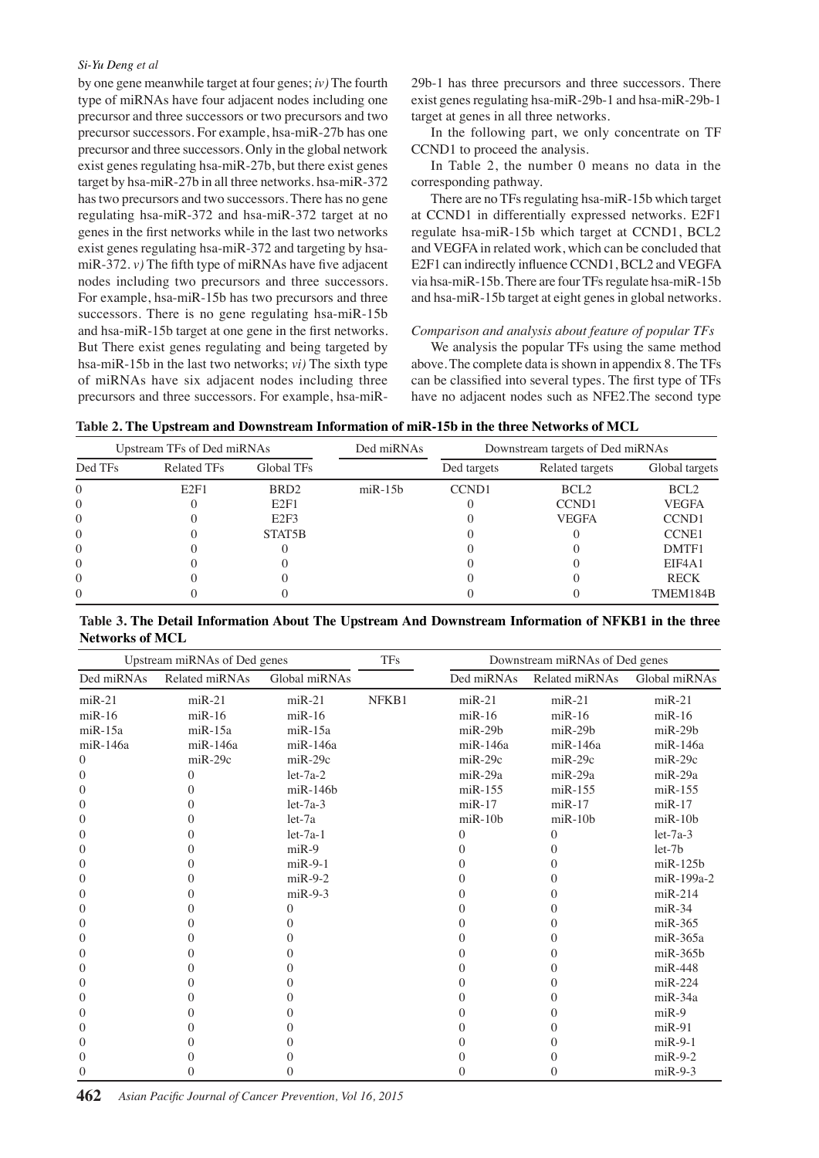#### *Si-Yu Deng et al*

by one gene meanwhile target at four genes; *iv)* The fourth type of miRNAs have four adjacent nodes including one precursor and three successors or two precursors and two precursor successors. For example, hsa-miR-27b has one precursor and three successors. Only in the global network exist genes regulating hsa-miR-27b, but there exist genes target by hsa-miR-27b in all three networks. hsa-miR-372 has two precursors and two successors. There has no gene regulating hsa-miR-372 and hsa-miR-372 target at no genes in the first networks while in the last two networks exist genes regulating hsa-miR-372 and targeting by hsamiR-372. *v)* The fifth type of miRNAs have five adjacent nodes including two precursors and three successors. For example, hsa-miR-15b has two precursors and three successors. There is no gene regulating hsa-miR-15b and hsa-miR-15b target at one gene in the first networks. But There exist genes regulating and being targeted by hsa-miR-15b in the last two networks; *vi)* The sixth type of miRNAs have six adjacent nodes including three precursors and three successors. For example, hsa-miR-

29b-1 has three precursors and three successors. There exist genes regulating hsa-miR-29b-1 and hsa-miR-29b-1 target at genes in all three networks.

In the following part, we only concentrate on TF CCND1 to proceed the analysis.

In Table 2, the number 0 means no data in the corresponding pathway.

and hsa-miR-15b target at eight genes in global networks **75.0** and VEGFA in related work, which can be concluded that **00.0** There are no TFs regulating hsa-miR-15b which target at CCND1 in differentially expressed networks. E2F1 regulate hsa-miR-15b which target at CCND1, BCL2 E2F1 can indirectly influence CCND1, BCL2 and VEGFA via hsa-miR-15b. There are four TFs regulate hsa-miR-15b

#### *Comparison and analysis about feature of popular TFs*

above. The complete data is shown in appendix 8. The TFs50.0 We analysis the popular TFs using the same method can be classified into several types. The first type of TFs have no adjacent nodes such as NFE2.The second type

|--|

| Upstream TFs of Ded miRNAs |                    |                     | Ded miRNAs    | Downstream targets of Ded miRNAs |                   |                  |
|----------------------------|--------------------|---------------------|---------------|----------------------------------|-------------------|------------------|
| Ded TFs                    | <b>Related TFs</b> | Global TFs          |               | Ded targets                      | Related targets   | Global targets   |
| $\Omega$                   | E2F1               | BRD <sub>2</sub>    | $m$ i $R-15b$ | CCND <sub>1</sub>                | BCL <sub>2</sub>  | BCL <sub>2</sub> |
| $\Omega$                   |                    | E2F1                |               |                                  | CCND <sub>1</sub> | <b>VEGFA</b>     |
| $\Omega$                   |                    | E2F3                |               |                                  | <b>VEGFA</b>      | <b>CCND1</b>     |
| $\Omega$                   |                    | STAT <sub>5</sub> B |               |                                  |                   | <b>CCNE1</b>     |
| $\Omega$                   |                    |                     |               |                                  |                   | DMTF1            |
| $\Omega$                   |                    |                     |               |                                  |                   | EIF4A1           |
| $\Omega$                   |                    |                     |               |                                  |                   | <b>RECK</b>      |
| $\Omega$                   |                    |                     |               |                                  |                   | TMEM184B         |

**Table 3. The Detail Information About The Upstream And Downstream Information of NFKB1 in the three Networks of MCL**

| Upstream miRNAs of Ded genes |                   |                | <b>TFs</b> |                | Downstream miRNAs of Ded genes |                |  |
|------------------------------|-------------------|----------------|------------|----------------|--------------------------------|----------------|--|
| Ded miRNAs                   | Related miRNAs    | Global miRNAs  |            | Ded miRNAs     | Related miRNAs                 | Global miRNAs  |  |
| $miR-21$                     | $miR-21$          | $miR-21$       | NFKB1      | $miR-21$       | $miR-21$                       | $miR-21$       |  |
| $miR-16$                     | $m$ i $R-16$      | $m$ i $R-16$   |            | $m$ i $R-16$   | $m$ i $R-16$                   | $miR-16$       |  |
| $m$ i $R-15a$                | $m$ i $R-15a$     | $m$ i $R-15a$  |            | $m$ i $R-29b$  | $m$ i $R-29b$                  | $m$ i $R-29b$  |  |
| miR-146a                     | miR-146a          | miR-146a       |            | $m$ i $R-146a$ | miR-146a                       | miR-146a       |  |
| $\Omega$                     | $m$ i $R-29c$     | $m$ i $R-29c$  |            | $m$ i $R-29c$  | $m$ i $R-29c$                  | $m$ i $R-29c$  |  |
| $\Omega$                     | $\overline{0}$    | $let-7a-2$     |            | $m$ i $R-29a$  | miR-29a                        | $miR-29a$      |  |
| $\Omega$                     | 0                 | $m$ i $R-146b$ |            | $m$ i $R-155$  | $m$ i $R-155$                  | $m$ i $R-155$  |  |
| $\left($                     | $\mathbf{0}$      | $let-7a-3$     |            | $m$ i $R-17$   | $m$ i $R-17$                   | $miR-17$       |  |
| $\Omega$                     | 0                 | $let-7a$       |            | $m$ i $R-10b$  | $m$ i $R-10b$                  | $m$ i $R-10b$  |  |
| $\Omega$                     | 0                 | $let-7a-1$     |            | $\Omega$       | $\theta$                       | $let-7a-3$     |  |
| $\Omega$                     | 0                 | $miR-9$        |            | O              | 0                              | $let-7b$       |  |
| $\Omega$                     | 0                 | $miR-9-1$      |            | 0              | $\mathbf{0}$                   | $m$ i $R-125b$ |  |
| $\Omega$                     | 0                 | $miR-9-2$      |            | 0              | 0                              | miR-199a-2     |  |
| $\Omega$                     | 0                 | $miR-9-3$      |            | 0              | 0                              | $m$ i $R-214$  |  |
| $\Omega$                     | 0                 | 0              |            |                | 0                              | $miR-34$       |  |
| $\left($                     | 0                 | 0              |            | 0              | 0                              | $m$ i $R-365$  |  |
| $\Omega$                     | 0                 |                |            |                |                                | $m$ i $R-365a$ |  |
| $\Omega$                     | $\mathbf{\Omega}$ | 0              |            |                | $\mathbf{\Omega}$              | $m$ i $R-365b$ |  |
| $\Omega$                     | $\mathbf{\Omega}$ | 0              |            |                | $^{(1)}$                       | $m$ iR-448     |  |
| $\Omega$                     | 0                 | 0              |            | 0              | 0                              | $miR-224$      |  |
| $\Omega$                     | 0                 | 0              |            |                |                                | $miR-34a$      |  |
| $\Omega$                     | 0                 | 0              |            |                |                                | $miR-9$        |  |
| $\left($                     | 0                 | 0              |            | 0              | 0                              | $miR-91$       |  |
| $\Omega$                     | 0                 | 0              |            |                | 0                              | $miR-9-1$      |  |
| $\theta$                     | $\mathbf{\Omega}$ | 0              |            | 0              | $\mathbf{0}$                   | $miR-9-2$      |  |
| $\Omega$                     | 0                 | 0              |            | 0              | 0                              | $miR-9-3$      |  |

**38.0 31.3 38.031.3**

25.0 25.0